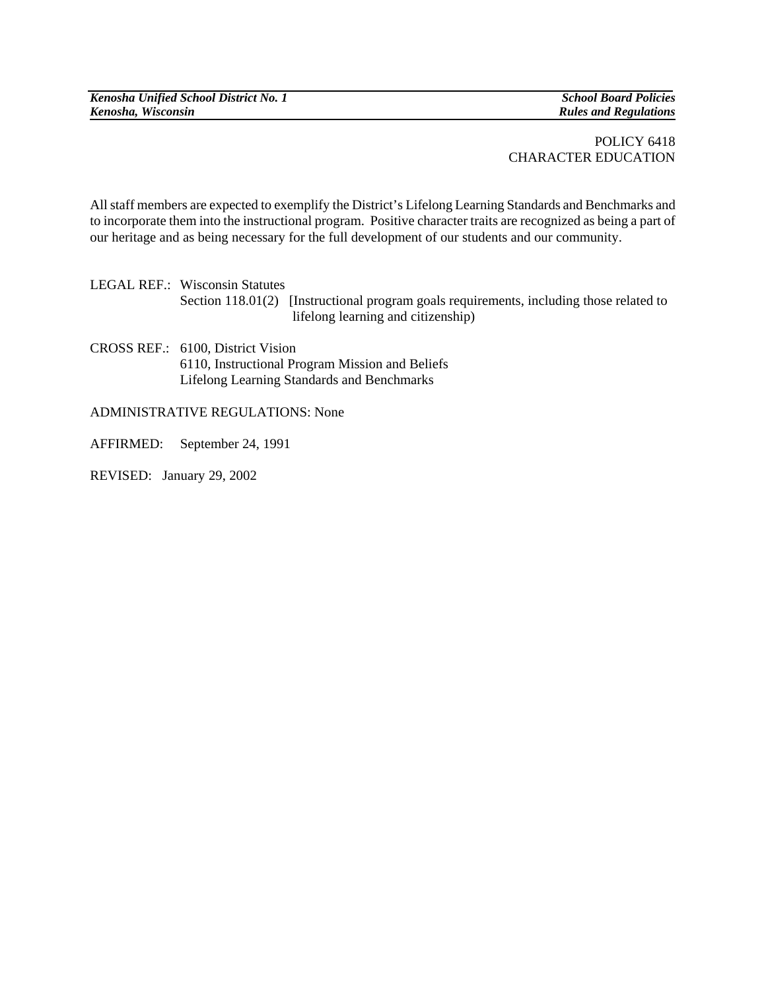*Kenosha Unified School District No. 1* School Board Policies *Kenosha, Wisconsin Kenosha, Wisconsin Kenosha, Wisconsin* 

*Rules and Regulations* 

## POLICY 6418 CHARACTER EDUCATION

All staff members are expected to exemplify the District's Lifelong Learning Standards and Benchmarks and to incorporate them into the instructional program. Positive character traits are recognized as being a part of our heritage and as being necessary for the full development of our students and our community.

LEGAL REF.: Wisconsin Statutes Section 118.01(2) [Instructional program goals requirements, including those related to lifelong learning and citizenship)

CROSS REF.: 6100, District Vision 6110, Instructional Program Mission and Beliefs Lifelong Learning Standards and Benchmarks

## ADMINISTRATIVE REGULATIONS: None

AFFIRMED: September 24, 1991

REVISED: January 29, 2002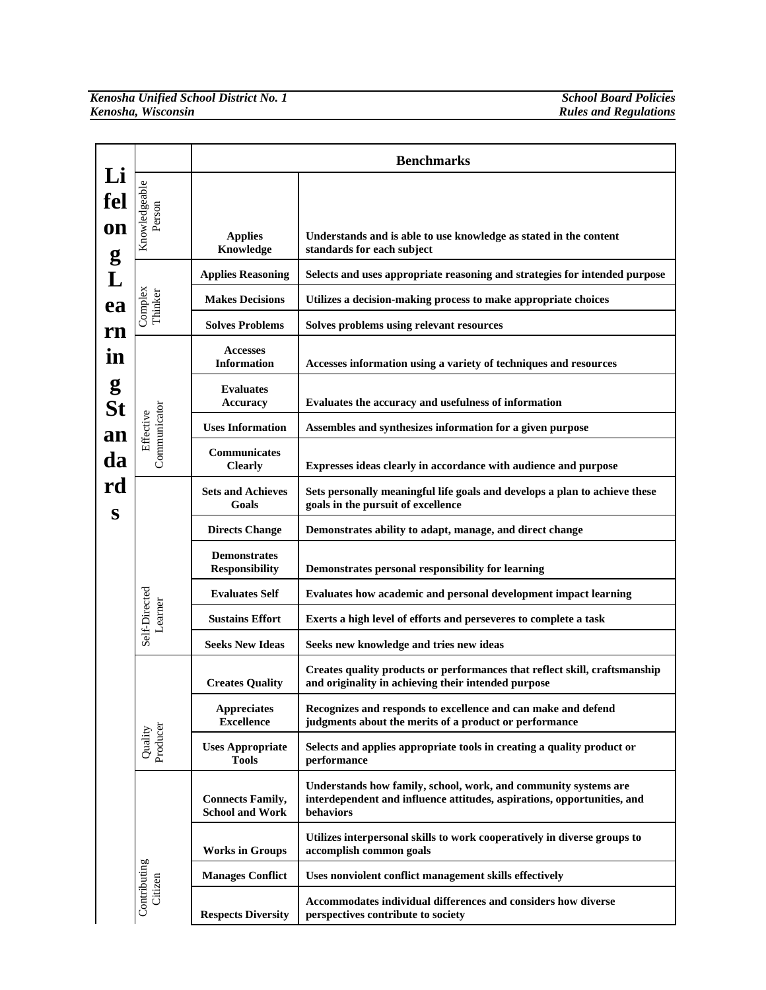|                |                          |                                                   | <b>Benchmarks</b>                                                                                                                                       |
|----------------|--------------------------|---------------------------------------------------|---------------------------------------------------------------------------------------------------------------------------------------------------------|
| Li<br>fel      | Knowledgeable<br>Person  |                                                   |                                                                                                                                                         |
| on<br>g        |                          | <b>Applies</b><br>Knowledge                       | Understands and is able to use knowledge as stated in the content<br>standards for each subject                                                         |
| L              |                          | <b>Applies Reasoning</b>                          | Selects and uses appropriate reasoning and strategies for intended purpose                                                                              |
| ea             | Complex<br>Thinker       | <b>Makes Decisions</b>                            | Utilizes a decision-making process to make appropriate choices                                                                                          |
| rn             |                          | <b>Solves Problems</b>                            | Solves problems using relevant resources                                                                                                                |
| in             |                          | <b>Accesses</b><br>Information                    | Accesses information using a variety of techniques and resources                                                                                        |
| g<br><b>St</b> |                          | <b>Evaluates</b><br>Accuracy                      | Evaluates the accuracy and usefulness of information                                                                                                    |
| an             | Effective                | <b>Uses Information</b>                           | Assembles and synthesizes information for a given purpose                                                                                               |
| da             | Communicator             | Communicates<br><b>Clearly</b>                    | Expresses ideas clearly in accordance with audience and purpose                                                                                         |
| rd<br>S        |                          | <b>Sets and Achieves</b><br>Goals                 | Sets personally meaningful life goals and develops a plan to achieve these<br>goals in the pursuit of excellence                                        |
|                |                          | <b>Directs Change</b>                             | Demonstrates ability to adapt, manage, and direct change                                                                                                |
|                |                          | <b>Demonstrates</b><br><b>Responsibility</b>      | Demonstrates personal responsibility for learning                                                                                                       |
|                |                          | <b>Evaluates Self</b>                             | Evaluates how academic and personal development impact learning                                                                                         |
|                | Self-Directed<br>Learner | <b>Sustains Effort</b>                            | Exerts a high level of efforts and perseveres to complete a task                                                                                        |
|                |                          | <b>Seeks New Ideas</b>                            | Seeks new knowledge and tries new ideas                                                                                                                 |
|                |                          | <b>Creates Quality</b>                            | Creates quality products or performances that reflect skill, craftsmanship<br>and originality in achieving their intended purpose                       |
|                |                          | <b>Appreciates</b><br><b>Excellence</b>           | Recognizes and responds to excellence and can make and defend<br>judgments about the merits of a product or performance                                 |
|                | Quality<br>Producer      | <b>Uses Appropriate</b><br><b>Tools</b>           | Selects and applies appropriate tools in creating a quality product or<br>performance                                                                   |
|                |                          | <b>Connects Family,</b><br><b>School and Work</b> | Understands how family, school, work, and community systems are<br>interdependent and influence attitudes, aspirations, opportunities, and<br>behaviors |
|                |                          | <b>Works in Groups</b>                            | Utilizes interpersonal skills to work cooperatively in diverse groups to<br>accomplish common goals                                                     |
|                |                          | <b>Manages Conflict</b>                           | Uses nonviolent conflict management skills effectively                                                                                                  |
|                | Contributing<br>Citizen  | <b>Respects Diversity</b>                         | Accommodates individual differences and considers how diverse<br>perspectives contribute to society                                                     |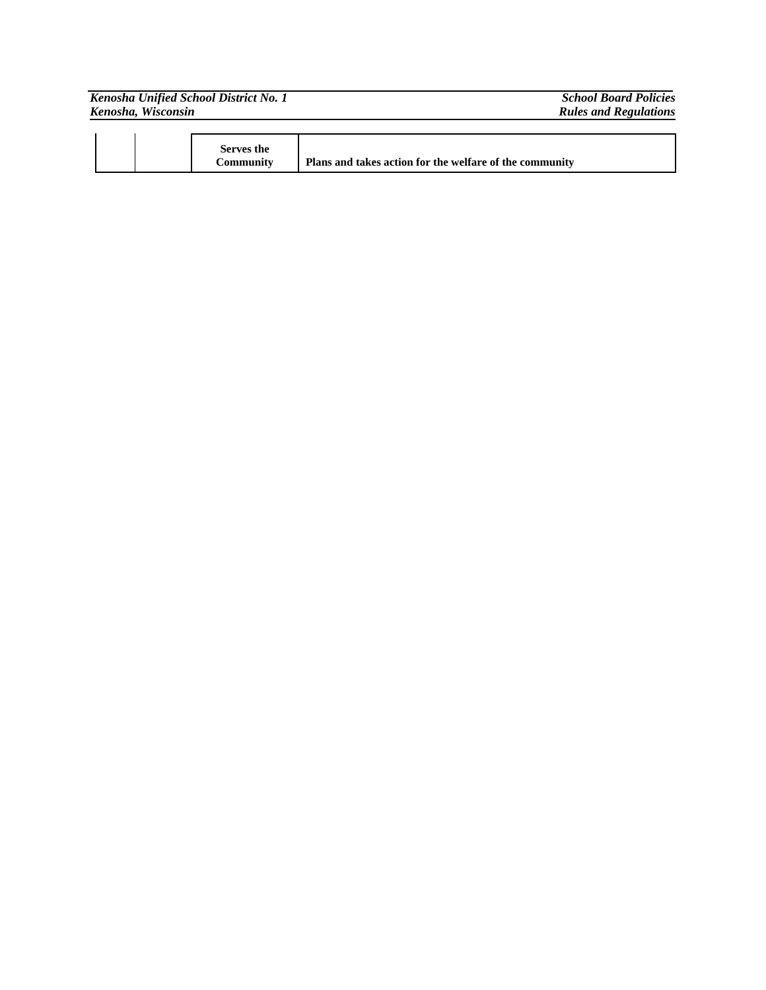|                    | Kenosha Unified School District No. 1 | <b>School Board Policies</b> |
|--------------------|---------------------------------------|------------------------------|
| Kenosha, Wisconsin |                                       | <b>Rules and Regulations</b> |
|                    |                                       |                              |
|                    |                                       |                              |

|--|